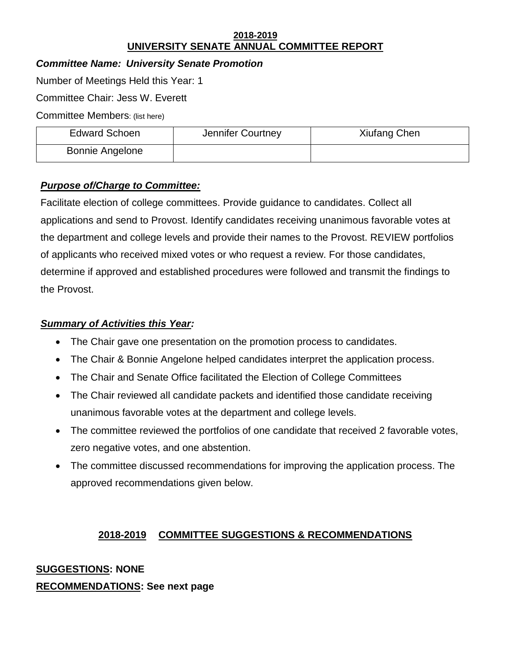#### **2018-2019 UNIVERSITY SENATE ANNUAL COMMITTEE REPORT**

### *Committee Name: University Senate Promotion*

Number of Meetings Held this Year: 1

Committee Chair: Jess W. Everett

Committee Members: (list here)

| <b>Edward Schoen</b>   | Jennifer Courtney | Xiufang Chen |
|------------------------|-------------------|--------------|
| <b>Bonnie Angelone</b> |                   |              |

### *Purpose of/Charge to Committee:*

Facilitate election of college committees. Provide guidance to candidates. Collect all applications and send to Provost. Identify candidates receiving unanimous favorable votes at the department and college levels and provide their names to the Provost. REVIEW portfolios of applicants who received mixed votes or who request a review. For those candidates, determine if approved and established procedures were followed and transmit the findings to the Provost.

### *Summary of Activities this Year:*

- The Chair gave one presentation on the promotion process to candidates.
- The Chair & Bonnie Angelone helped candidates interpret the application process.
- The Chair and Senate Office facilitated the Election of College Committees
- The Chair reviewed all candidate packets and identified those candidate receiving unanimous favorable votes at the department and college levels.
- The committee reviewed the portfolios of one candidate that received 2 favorable votes, zero negative votes, and one abstention.
- The committee discussed recommendations for improving the application process. The approved recommendations given below.

## **2018-2019 COMMITTEE SUGGESTIONS & RECOMMENDATIONS**

# **SUGGESTIONS: NONE RECOMMENDATIONS: See next page**